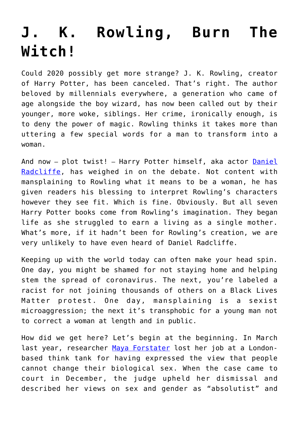## **[J. K. Rowling, Burn The](https://intellectualtakeout.org/2020/06/j-k-rowling-burn-the-witch/) [Witch!](https://intellectualtakeout.org/2020/06/j-k-rowling-burn-the-witch/)**

Could 2020 possibly get more strange? J. K. Rowling, creator of Harry Potter, has been canceled. That's right. The author beloved by millennials everywhere, a generation who came of age alongside the boy wizard, has now been called out by their younger, more woke, siblings. Her crime, ironically enough, is to deny the power of magic. Rowling thinks it takes more than uttering a few special words for a man to transform into a woman.

And now - plot twist! - Harry Potter himself, aka actor [Daniel](https://variety.com/2020/film/news/daniel-radcliffe-jk-rowling-transgender-women-are-women-1234628404/) [Radcliffe](https://variety.com/2020/film/news/daniel-radcliffe-jk-rowling-transgender-women-are-women-1234628404/), has weighed in on the debate. Not content with mansplaining to Rowling what it means to be a woman, he has given readers his blessing to interpret Rowling's characters however they see fit. Which is fine. Obviously. But all seven Harry Potter books come from Rowling's imagination. They began life as she struggled to earn a living as a single mother. What's more, if it hadn't been for Rowling's creation, we are very unlikely to have even heard of Daniel Radcliffe.

Keeping up with the world today can often make your head spin. One day, you might be shamed for not staying home and helping stem the spread of coronavirus. The next, you're labeled a racist for not joining thousands of others on a Black Lives Matter protest. One day, mansplaining is a sexist microaggression; the next it's transphobic for a young man not to correct a woman at length and in public.

How did we get here? Let's begin at the beginning. In March last year, researcher [Maya Forstater](https://www.theguardian.com/society/2019/dec/18/judge-rules-against-charity-worker-who-lost-job-over-transgender-tweets) lost her job at a Londonbased think tank for having expressed the view that people cannot change their biological sex. When the case came to court in December, the judge upheld her dismissal and described her views on sex and gender as "absolutist" and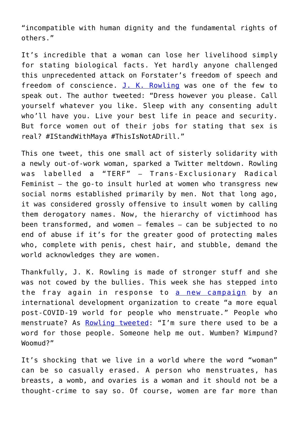"incompatible with human dignity and the fundamental rights of others."

It's incredible that a woman can lose her livelihood simply for stating biological facts. Yet hardly anyone challenged this unprecedented attack on Forstater's freedom of speech and freedom of conscience. [J. K. Rowling](https://eu.usatoday.com/story/entertainment/celebrities/2019/12/19/j-k-rowling-transgender-comments-maya-forstater-glaad-response/2701579001/) was one of the few to speak out. The author tweeted: "Dress however you please. Call yourself whatever you like. Sleep with any consenting adult who'll have you. Live your best life in peace and security. But force women out of their jobs for stating that sex is real? #IStandWithMaya #ThisIsNotADrill."

This one tweet, this one small act of sisterly solidarity with a newly out-of-work woman, sparked a Twitter meltdown. Rowling was labelled a "TERF" – Trans-Exclusionary Radical Feminist – the go-to insult hurled at women who transgress new social norms established primarily by men. Not that long ago, it was considered grossly offensive to insult women by calling them derogatory names. Now, the hierarchy of victimhood has been transformed, and women – females – can be subjected to no end of abuse if it's for the greater good of protecting males who, complete with penis, chest hair, and stubble, demand the world acknowledges they are women.

Thankfully, J. K. Rowling is made of stronger stuff and she was not cowed by the bullies. This week she has stepped into the fray again in response to [a new campaign](https://www.devex.com/news/sponsored/opinion-creating-a-more-equal-post-covid-19-world-for-people-who-menstruate-97312#.XtwLnv0aEeR.twitter) by an international development organization to create "a more equal post-COVID-19 world for people who menstruate." People who menstruate? As [Rowling tweeted:](https://mobile.twitter.com/jk_rowling/status/1269382518362509313) "I'm sure there used to be a word for those people. Someone help me out. Wumben? Wimpund? Woomud?"

It's shocking that we live in a world where the word "woman" can be so casually erased. A person who menstruates, has breasts, a womb, and ovaries is a woman and it should not be a thought-crime to say so. Of course, women are far more than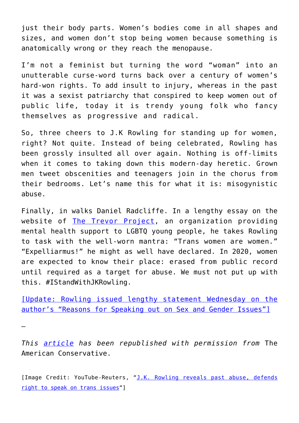just their body parts. Women's bodies come in all shapes and sizes, and women don't stop being women because something is anatomically wrong or they reach the menopause.

I'm not a feminist but turning the word "woman" into an unutterable curse-word turns back over a century of women's hard-won rights. To add insult to injury, whereas in the past it was a sexist patriarchy that conspired to keep women out of public life, today it is trendy young folk who fancy themselves as progressive and radical.

So, three cheers to J.K Rowling for standing up for women, right? Not quite. Instead of being celebrated, Rowling has been grossly insulted all over again. Nothing is off-limits when it comes to taking down this modern-day heretic. Grown men tweet obscenities and teenagers join in the chorus from their bedrooms. Let's name this for what it is: misogynistic abuse.

Finally, in walks Daniel Radcliffe. In a lengthy essay on the website of [The Trevor Project](https://www.thetrevorproject.org/), an organization providing mental health support to LGBTQ young people, he takes Rowling to task with the well-worn mantra: "Trans women are women." "Expelliarmus!" he might as well have declared. In 2020, women are expected to know their place: erased from public record until required as a target for abuse. We must not put up with this. #IStandWithJKRowling.

[\[Update: Rowling issued lengthy statement Wednesday on the](https://www.jkrowling.com/opinions/j-k-rowling-writes-about-her-reasons-for-speaking-out-on-sex-and-gender-issues/) [author's "Reasons for Speaking out on Sex and Gender Issues"\]](https://www.jkrowling.com/opinions/j-k-rowling-writes-about-her-reasons-for-speaking-out-on-sex-and-gender-issues/)

*This [article](https://www.theamericanconservative.com/articles/j-k-rowling-burn-the-witch/) has been republished with permission from* The American Conservative.

—

[Image Credit: YouTube-Reuters, ["J.K. Rowling reveals past abuse, defends](https://www.youtube.com/watch?v=b6x-AwhbiVw) [right to speak on trans issues"](https://www.youtube.com/watch?v=b6x-AwhbiVw)]